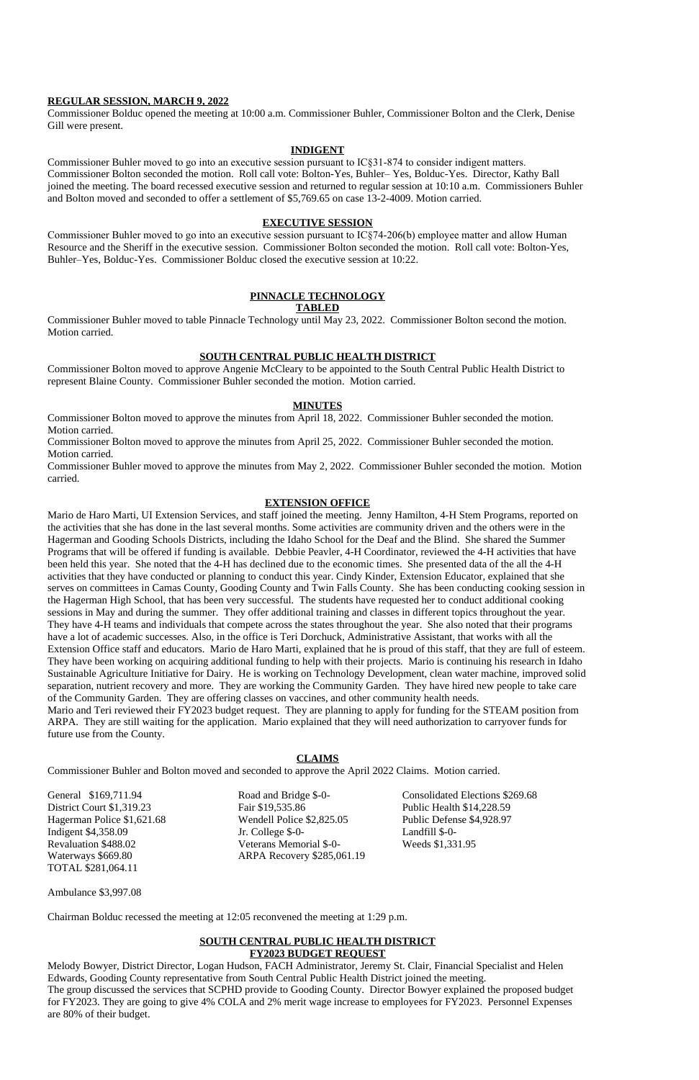#### **REGULAR SESSION, MARCH 9, 2022**

Commissioner Bolduc opened the meeting at 10:00 a.m. Commissioner Buhler, Commissioner Bolton and the Clerk, Denise Gill were present.

#### **INDIGENT**

Commissioner Buhler moved to go into an executive session pursuant to IC§31-874 to consider indigent matters. Commissioner Bolton seconded the motion. Roll call vote: Bolton-Yes, Buhler– Yes, Bolduc-Yes. Director, Kathy Ball joined the meeting. The board recessed executive session and returned to regular session at 10:10 a.m. Commissioners Buhler and Bolton moved and seconded to offer a settlement of \$5,769.65 on case 13-2-4009. Motion carried.

## **EXECUTIVE SESSION**

Commissioner Buhler moved to go into an executive session pursuant to IC§74-206(b) employee matter and allow Human Resource and the Sheriff in the executive session. Commissioner Bolton seconded the motion. Roll call vote: Bolton-Yes, Buhler–Yes, Bolduc-Yes. Commissioner Bolduc closed the executive session at 10:22.

# **PINNACLE TECHNOLOGY**

## **TABLED**

Commissioner Buhler moved to table Pinnacle Technology until May 23, 2022. Commissioner Bolton second the motion. Motion carried.

## **SOUTH CENTRAL PUBLIC HEALTH DISTRICT**

Commissioner Bolton moved to approve Angenie McCleary to be appointed to the South Central Public Health District to represent Blaine County. Commissioner Buhler seconded the motion. Motion carried.

## **MINUTES**

Commissioner Bolton moved to approve the minutes from April 18, 2022. Commissioner Buhler seconded the motion. Motion carried.

Commissioner Bolton moved to approve the minutes from April 25, 2022. Commissioner Buhler seconded the motion. Motion carried.

Commissioner Buhler moved to approve the minutes from May 2, 2022. Commissioner Buhler seconded the motion. Motion carried.

## **EXTENSION OFFICE**

Waterways \$669.80 ARPA Recovery \$285,061.19 TOTAL \$281,064.11

Mario de Haro Marti, UI Extension Services, and staff joined the meeting. Jenny Hamilton, 4-H Stem Programs, reported on the activities that she has done in the last several months. Some activities are community driven and the others were in the Hagerman and Gooding Schools Districts, including the Idaho School for the Deaf and the Blind. She shared the Summer Programs that will be offered if funding is available. Debbie Peavler, 4-H Coordinator, reviewed the 4-H activities that have been held this year. She noted that the 4-H has declined due to the economic times. She presented data of the all the 4-H activities that they have conducted or planning to conduct this year. Cindy Kinder, Extension Educator, explained that she serves on committees in Camas County, Gooding County and Twin Falls County. She has been conducting cooking session in the Hagerman High School, that has been very successful. The students have requested her to conduct additional cooking sessions in May and during the summer. They offer additional training and classes in different topics throughout the year. They have 4-H teams and individuals that compete across the states throughout the year. She also noted that their programs have a lot of academic successes. Also, in the office is Teri Dorchuck, Administrative Assistant, that works with all the Extension Office staff and educators. Mario de Haro Marti, explained that he is proud of this staff, that they are full of esteem. They have been working on acquiring additional funding to help with their projects. Mario is continuing his research in Idaho Sustainable Agriculture Initiative for Dairy. He is working on Technology Development, clean water machine, improved solid separation, nutrient recovery and more. They are working the Community Garden. They have hired new people to take care of the Community Garden. They are offering classes on vaccines, and other community health needs.

Mario and Teri reviewed their FY2023 budget request. They are planning to apply for funding for the STEAM position from ARPA. They are still waiting for the application. Mario explained that they will need authorization to carryover funds for future use from the County.

## **CLAIMS**

Commissioner Buhler and Bolton moved and seconded to approve the April 2022 Claims. Motion carried.

District Court \$1,319.23 Fair \$19,535.86 Public Health \$14,228.59 Hagerman Police \$1,621.68 Wendell Police \$2,825.05 Public Defense \$4,928.97 Indigent \$4,358.09 **I.** College \$-0- Landfill \$-0-Revaluation \$488.02 Veterans Memorial \$-0- Weeds \$1,331.95

General \$169,711.94 Road and Bridge \$-0- Consolidated Elections \$269.68

Ambulance \$3,997.08

Chairman Bolduc recessed the meeting at 12:05 reconvened the meeting at 1:29 p.m.

## **SOUTH CENTRAL PUBLIC HEALTH DISTRICT FY2023 BUDGET REQUEST**

Melody Bowyer, District Director, Logan Hudson, FACH Administrator, Jeremy St. Clair, Financial Specialist and Helen Edwards, Gooding County representative from South Central Public Health District joined the meeting. The group discussed the services that SCPHD provide to Gooding County. Director Bowyer explained the proposed budget for FY2023. They are going to give 4% COLA and 2% merit wage increase to employees for FY2023. Personnel Expenses are 80% of their budget.